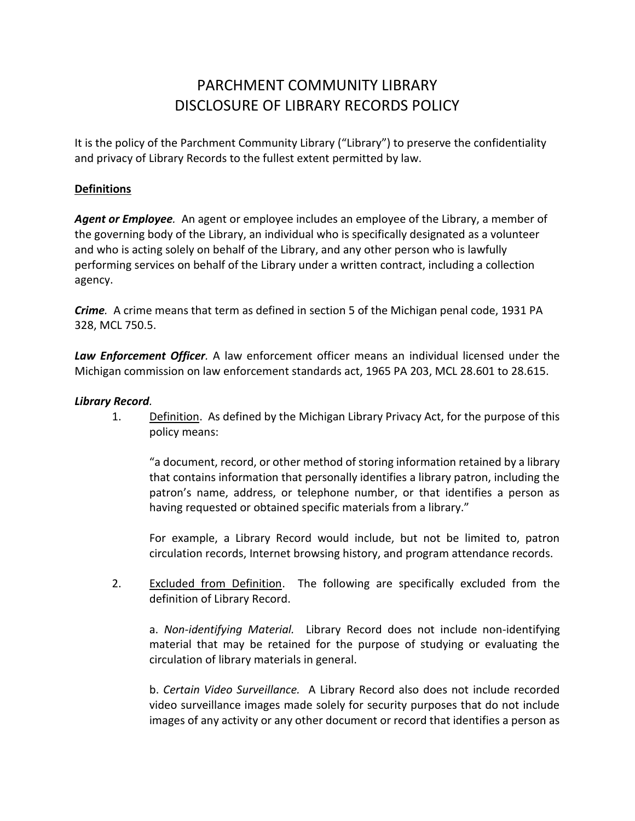# PARCHMENT COMMUNITY LIBRARY DISCLOSURE OF LIBRARY RECORDS POLICY

It is the policy of the Parchment Community Library ("Library") to preserve the confidentiality and privacy of Library Records to the fullest extent permitted by law.

#### **Definitions**

*Agent or Employee.* An agent or employee includes an employee of the Library, a member of the governing body of the Library, an individual who is specifically designated as a volunteer and who is acting solely on behalf of the Library, and any other person who is lawfully performing services on behalf of the Library under a written contract, including a collection agency.

*Crime.* A crime means that term as defined in section 5 of the Michigan penal code, 1931 PA 328, MCL 750.5.

*Law Enforcement Officer.* A law enforcement officer means an individual licensed under the Michigan commission on law enforcement standards act, 1965 PA 203, MCL 28.601 to 28.615.

#### *Library Record.*

1. Definition. As defined by the Michigan Library Privacy Act, for the purpose of this policy means:

"a document, record, or other method of storing information retained by a library that contains information that personally identifies a library patron, including the patron's name, address, or telephone number, or that identifies a person as having requested or obtained specific materials from a library."

For example, a Library Record would include, but not be limited to, patron circulation records, Internet browsing history, and program attendance records.

2. Excluded from Definition. The following are specifically excluded from the definition of Library Record.

a. *Non-identifying Material.* Library Record does not include non-identifying material that may be retained for the purpose of studying or evaluating the circulation of library materials in general.

b. *Certain Video Surveillance.* A Library Record also does not include recorded video surveillance images made solely for security purposes that do not include images of any activity or any other document or record that identifies a person as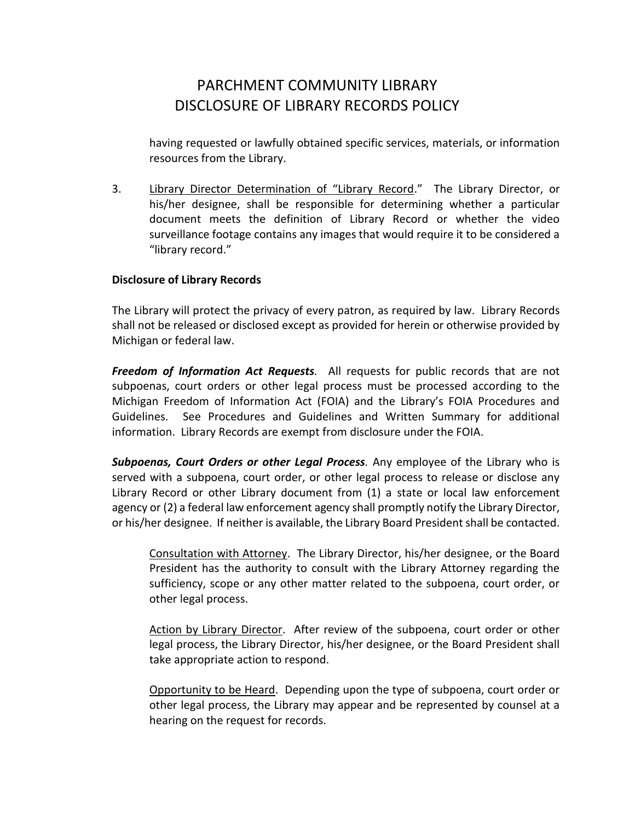# PARCHMENT COMMUNITY LIBRARY DISCLOSURE OF LIBRARY RECORDS POLICY

having requested or lawfully obtained specific services, materials, or information resources from the Library.

3. Library Director Determination of "Library Record." The Library Director, or his/her designee, shall be responsible for determining whether a particular document meets the definition of Library Record or whether the video surveillance footage contains any images that would require it to be considered a "library record."

#### **Disclosure of Library Records**

The Library will protect the privacy of every patron, as required by law. Library Records shall not be released or disclosed except as provided for herein or otherwise provided by Michigan or federal law.

*Freedom of Information Act Requests.* All requests for public records that are not subpoenas, court orders or other legal process must be processed according to the Michigan Freedom of Information Act (FOIA) and the Library's FOIA Procedures and Guidelines. See Procedures and Guidelines and Written Summary for additional information. Library Records are exempt from disclosure under the FOIA.

*Subpoenas, Court Orders or other Legal Process.* Any employee of the Library who is served with a subpoena, court order, or other legal process to release or disclose any Library Record or other Library document from (1) a state or local law enforcement agency or (2) a federal law enforcement agency shall promptly notify the Library Director, or his/her designee. If neither is available, the Library Board President shall be contacted.

Consultation with Attorney. The Library Director, his/her designee, or the Board President has the authority to consult with the Library Attorney regarding the sufficiency, scope or any other matter related to the subpoena, court order, or other legal process.

Action by Library Director. After review of the subpoena, court order or other legal process, the Library Director, his/her designee, or the Board President shall take appropriate action to respond.

Opportunity to be Heard. Depending upon the type of subpoena, court order or other legal process, the Library may appear and be represented by counsel at a hearing on the request for records.